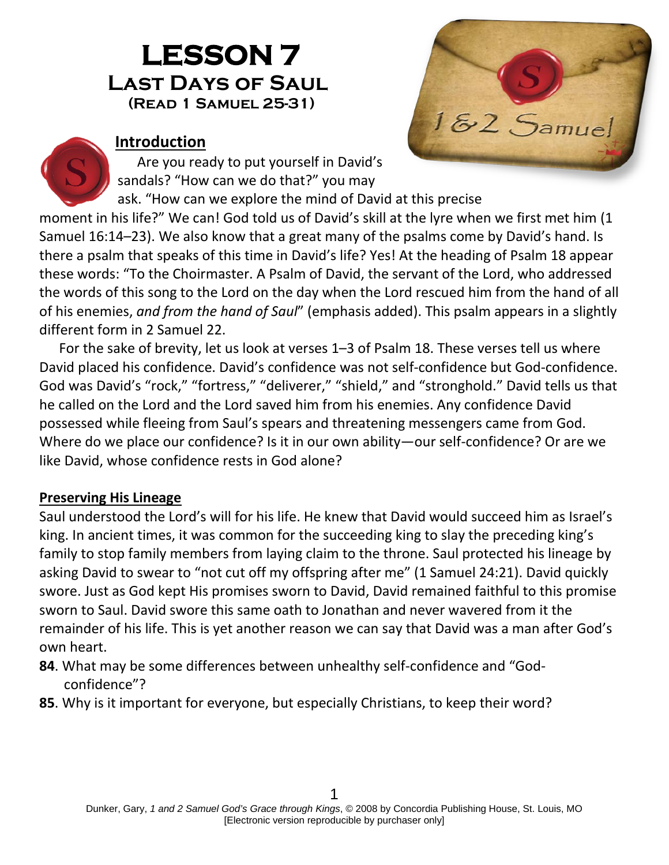# **LESSON 7 Last Days of Saul (Read 1 Samuel 25-31)**



#### **Introduction**

Are you ready to put yourself in David's sandals? "How can we do that?" you may

ask. "How can we explore the mind of David at this precise

moment in his life?" We can! God told us of David's skill at the lyre when we first met him (1 Samuel 16:14–23). We also know that a great many of the psalms come by David's hand. Is there a psalm that speaks of this time in David's life? Yes! At the heading of Psalm 18 appear these words: "To the Choirmaster. A Psalm of David, the servant of the Lord, who addressed the words of this song to the Lord on the day when the Lord rescued him from the hand of all of his enemies, *and from the hand of Saul*" (emphasis added). This psalm appears in a slightly different form in 2 Samuel 22.

For the sake of brevity, let us look at verses 1–3 of Psalm 18. These verses tell us where David placed his confidence. David's confidence was not self-confidence but God-confidence. God was David's "rock," "fortress," "deliverer," "shield," and "stronghold." David tells us that he called on the Lord and the Lord saved him from his enemies. Any confidence David possessed while fleeing from Saul's spears and threatening messengers came from God. Where do we place our confidence? Is it in our own ability—our self-confidence? Or are we like David, whose confidence rests in God alone?

### **Preserving His Lineage**

Saul understood the Lord's will for his life. He knew that David would succeed him as Israel's king. In ancient times, it was common for the succeeding king to slay the preceding king's family to stop family members from laying claim to the throne. Saul protected his lineage by asking David to swear to "not cut off my offspring after me" (1 Samuel 24:21). David quickly swore. Just as God kept His promises sworn to David, David remained faithful to this promise sworn to Saul. David swore this same oath to Jonathan and never wavered from it the remainder of his life. This is yet another reason we can say that David was a man after God's own heart.

- **84**. What may be some differences between unhealthy self-confidence and "Godconfidence"?
- **85**. Why is it important for everyone, but especially Christians, to keep their word?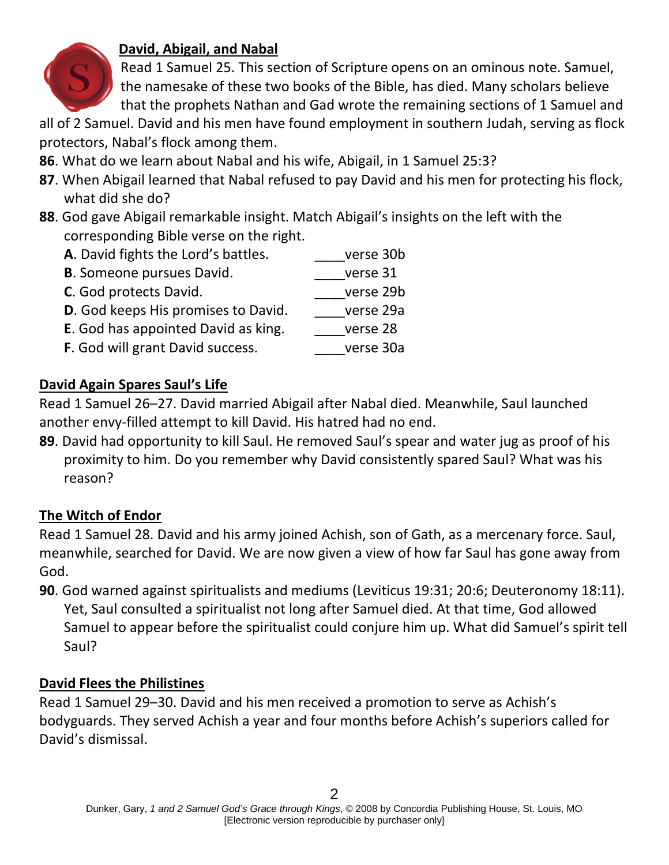

# **David, Abigail, and Nabal**

Read 1 Samuel 25. This section of Scripture opens on an ominous note. Samuel, the namesake of these two books of the Bible, has died. Many scholars believe that the prophets Nathan and Gad wrote the remaining sections of 1 Samuel and

all of 2 Samuel. David and his men have found employment in southern Judah, serving as flock protectors, Nabal's flock among them.

- **86**. What do we learn about Nabal and his wife, Abigail, in 1 Samuel 25:3?
- **87**. When Abigail learned that Nabal refused to pay David and his men for protecting his flock, what did she do?
- **88**. God gave Abigail remarkable insight. Match Abigail's insights on the left with the corresponding Bible verse on the right.

| A. David fights the Lord's battles.        | verse 30b |
|--------------------------------------------|-----------|
| <b>B.</b> Someone pursues David.           | verse 31  |
| C. God protects David.                     | verse 29b |
| <b>D.</b> God keeps His promises to David. | verse 29a |
| <b>E.</b> God has appointed David as king. | verse 28  |
|                                            |           |

**F**. God will grant David success. The verse 30a

# **David Again Spares Saul's Life**

Read 1 Samuel 26–27. David married Abigail after Nabal died. Meanwhile, Saul launched another envy-filled attempt to kill David. His hatred had no end.

**89**. David had opportunity to kill Saul. He removed Saul's spear and water jug as proof of his proximity to him. Do you remember why David consistently spared Saul? What was his reason?

# **The Witch of Endor**

Read 1 Samuel 28. David and his army joined Achish, son of Gath, as a mercenary force. Saul, meanwhile, searched for David. We are now given a view of how far Saul has gone away from God.

**90**. God warned against spiritualists and mediums (Leviticus 19:31; 20:6; Deuteronomy 18:11). Yet, Saul consulted a spiritualist not long after Samuel died. At that time, God allowed Samuel to appear before the spiritualist could conjure him up. What did Samuel's spirit tell Saul?

### **David Flees the Philistines**

Read 1 Samuel 29–30. David and his men received a promotion to serve as Achish's bodyguards. They served Achish a year and four months before Achish's superiors called for David's dismissal.